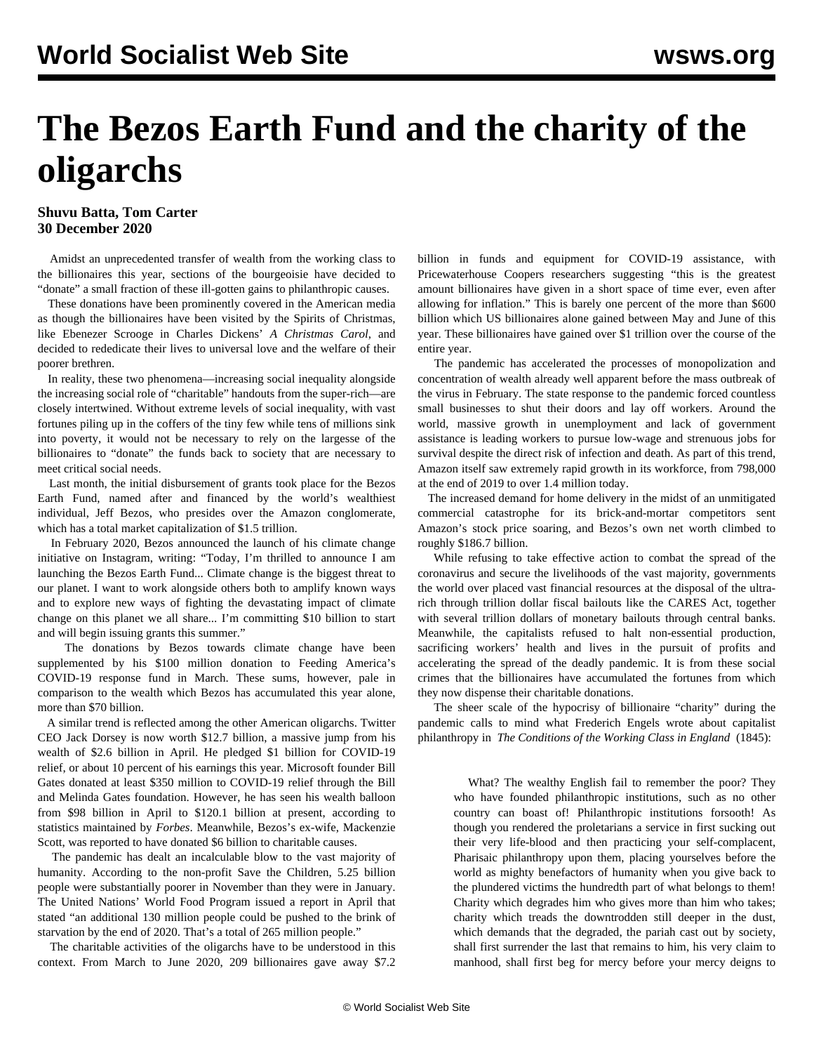## **The Bezos Earth Fund and the charity of the oligarchs**

## **Shuvu Batta, Tom Carter 30 December 2020**

 Amidst an unprecedented transfer of wealth from the working class to the billionaires this year, sections of the bourgeoisie have decided to "donate" a small fraction of these ill-gotten gains to philanthropic causes.

 These donations have been prominently covered in the American media as though the billionaires have been visited by the Spirits of Christmas, like Ebenezer Scrooge in Charles Dickens' *A Christmas Carol*, and decided to rededicate their lives to universal love and the welfare of their poorer brethren.

 In reality, these two phenomena—increasing social inequality alongside the increasing social role of "charitable" handouts from the super-rich—are closely intertwined. Without extreme levels of social inequality, with vast fortunes piling up in the coffers of the tiny few while tens of millions sink into poverty, it would not be necessary to rely on the largesse of the billionaires to "donate" the funds back to society that are necessary to meet critical social needs.

 Last month, the initial disbursement of grants took place for the Bezos Earth Fund, named after and financed by the world's wealthiest individual, Jeff Bezos, who presides over the Amazon conglomerate, which has a total market capitalization of \$1.5 trillion.

 In February 2020, Bezos announced the launch of his climate change initiative on Instagram, writing: "Today, I'm thrilled to announce I am launching the Bezos Earth Fund... Climate change is the biggest threat to our planet. I want to work alongside others both to amplify known ways and to explore new ways of fighting the devastating impact of climate change on this planet we all share... I'm committing \$10 billion to start and will begin issuing grants this summer."

 The donations by Bezos towards climate change have been supplemented by his \$100 million donation to Feeding America's COVID-19 response fund in March. These sums, however, pale in comparison to the wealth which Bezos has accumulated this year alone, more than \$70 billion.

 A similar trend is reflected among the other American oligarchs. Twitter CEO Jack Dorsey is now worth \$12.7 billion, a massive jump from his wealth of \$2.6 billion in April. He pledged \$1 billion for COVID-19 relief, or about 10 percent of his earnings this year. Microsoft founder Bill Gates donated at least \$350 million to COVID-19 relief through the Bill and Melinda Gates foundation. However, he has seen his wealth balloon from \$98 billion in April to \$120.1 billion at present, according to statistics maintained by *Forbes*. Meanwhile, Bezos's ex-wife, Mackenzie Scott, was reported to have donated \$6 billion to charitable causes.

 The pandemic has dealt an incalculable blow to the vast majority of humanity. According to the non-profit Save the Children, [5.25 billion](/en/articles/2020/12/02/pers-d02.html) [people](/en/articles/2020/12/02/pers-d02.html) were substantially poorer in November than they were in January. The United Nations' World Food Program [issued a report](/en/articles/2020/04/23/hung-a23.html) in April that stated "an additional 130 million people could be pushed to the brink of starvation by the end of 2020. That's a total of 265 million people."

 The charitable activities of the oligarchs have to be understood in this context. From March to June 2020, 209 billionaires gave away \$7.2

billion in funds and equipment for COVID-19 assistance, with Pricewaterhouse Coopers researchers [suggesting](https://www.pwc.ch/en/publications/2020/UBS-PwC-Billionaires-Report-2020.pdf) "this is the greatest amount billionaires have given in a short space of time ever, even after allowing for inflation." This is barely one percent of the more than \$600 billion which US billionaires alone gained between May and June of this year. These billionaires have gained over \$1 trillion over the course of the entire year.

 The pandemic has accelerated the processes of monopolization and concentration of wealth already well apparent before the mass outbreak of the virus in February. The state response to the pandemic forced countless small businesses to shut their doors and lay off workers. Around the world, massive growth in unemployment and lack of government assistance is leading workers to pursue low-wage and strenuous jobs for survival despite the direct risk of infection and death. As part of this trend, Amazon itself saw extremely rapid growth in its workforce, from 798,000 at the end of 2019 to over 1.4 million today.

 The increased demand for home delivery in the midst of an unmitigated commercial catastrophe for its brick-and-mortar competitors sent Amazon's stock price soaring, and Bezos's own net worth climbed to roughly \$186.7 billion.

 While refusing to take effective action to combat the spread of the coronavirus and secure the livelihoods of the vast majority, governments the world over placed vast financial resources at the disposal of the ultrarich through trillion dollar fiscal bailouts like the CARES Act, together with several trillion dollars of monetary bailouts through central banks. Meanwhile, the capitalists refused to halt non-essential production, sacrificing workers' health and lives in the pursuit of profits and accelerating the spread of the deadly pandemic. It is from these social crimes that the billionaires have accumulated the fortunes from which they now dispense their charitable donations.

 The sheer scale of the hypocrisy of billionaire "charity" during the pandemic calls to mind what [Frederich Engels](/Engels%22%20%5Ct%20%22_top) wrote about capitalist philanthropy in *[The Conditions of the Working Class in England](https://www.marxists.org/archive/marx/works/1845/condition-working-class/ch13.htm)* (1845):

 What? The wealthy English fail to remember the poor? They who have founded philanthropic institutions, such as no other country can boast of! Philanthropic institutions forsooth! As though you rendered the proletarians a service in first sucking out their very life-blood and then practicing your self-complacent, Pharisaic philanthropy upon them, placing yourselves before the world as mighty benefactors of humanity when you give back to the plundered victims the hundredth part of what belongs to them! Charity which degrades him who gives more than him who takes; charity which treads the downtrodden still deeper in the dust, which demands that the degraded, the pariah cast out by society, shall first surrender the last that remains to him, his very claim to manhood, shall first beg for mercy before your mercy deigns to